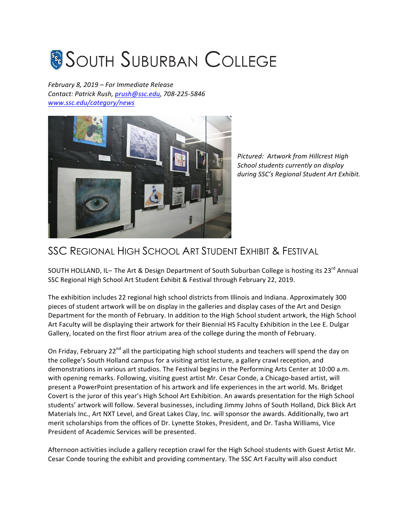## **SOUTH SUBURBAN COLLEGE**

*February 8, 2019 – For Immediate Release Contact: Patrick Rush, prush@ssc.edu, 708-225-5846 www.ssc.edu/category/news*



*Pictured: Artwork from Hillcrest High School students currently on display*  during SSC's Regional Student Art Exhibit.

## SSC REGIONAL HIGH SCHOOL ART STUDENT EXHIBIT & FESTIVAL

SOUTH HOLLAND, IL- The Art & Design Department of South Suburban College is hosting its 23<sup>rd</sup> Annual SSC Regional High School Art Student Exhibit & Festival through February 22, 2019.

The exhibition includes 22 regional high school districts from Illinois and Indiana. Approximately 300 pieces of student artwork will be on display in the galleries and display cases of the Art and Design Department for the month of February. In addition to the High School student artwork, the High School Art Faculty will be displaying their artwork for their Biennial HS Faculty Exhibition in the Lee E. Dulgar Gallery, located on the first floor atrium area of the college during the month of February.

On Friday, February 22<sup>nd</sup> all the participating high school students and teachers will spend the day on the college's South Holland campus for a visiting artist lecture, a gallery crawl reception, and demonstrations in various art studios. The Festival begins in the Performing Arts Center at 10:00 a.m. with opening remarks. Following, visiting guest artist Mr. Cesar Conde, a Chicago-based artist, will present a PowerPoint presentation of his artwork and life experiences in the art world. Ms. Bridget Covert is the juror of this year's High School Art Exhibition. An awards presentation for the High School students' artwork will follow. Several businesses, including Jimmy Johns of South Holland, Dick Blick Art Materials Inc., Art NXT Level, and Great Lakes Clay, Inc. will sponsor the awards. Additionally, two art merit scholarships from the offices of Dr. Lynette Stokes, President, and Dr. Tasha Williams, Vice President of Academic Services will be presented.

Afternoon activities include a gallery reception crawl for the High School students with Guest Artist Mr. Cesar Conde touring the exhibit and providing commentary. The SSC Art Faculty will also conduct